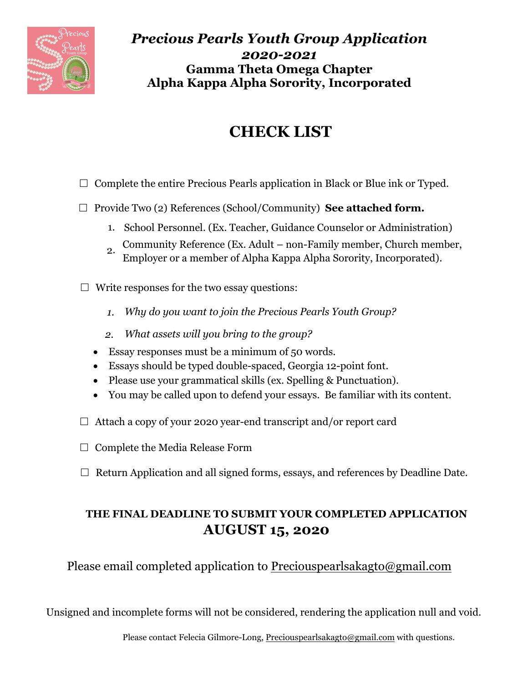

*Precious Pearls Youth Group Application 2020-2021* **Gamma Theta Omega Chapter Alpha Kappa Alpha Sorority, Incorporated**

## **CHECK LIST**

- $\Box$  Complete the entire Precious Pearls application in Black or Blue ink or Typed.
- □ Provide Two (2) References (School/Community) See attached form.
	- 1. School Personnel. (Ex. Teacher, Guidance Counselor or Administration)
	- 2. Community Reference (Ex. Adult non-Family member, Church member, Employer or a member of Alpha Kappa Alpha Sorority, Incorporated).
- $\Box$  Write responses for the two essay questions:
	- *1. Why do you want to join the Precious Pearls Youth Group?*
	- *2. What assets will you bring to the group?*
	- Essay responses must be a minimum of 50 words.
	- Essays should be typed double-spaced, Georgia 12-point font.
	- Please use your grammatical skills (ex. Spelling & Punctuation).
	- You may be called upon to defend your essays. Be familiar with its content.
- $\Box$  Attach a copy of your 2020 year-end transcript and/or report card
- $\Box$  Complete the Media Release Form
- $\Box$  Return Application and all signed forms, essays, and references by Deadline Date.

### **THE FINAL DEADLINE TO SUBMIT YOUR COMPLETED APPLICATION AUGUST 15, 2020**

Please email completed application to Preciouspearlsakagto@gmail.com

Unsigned and incomplete forms will not be considered, rendering the application null and void.

Please contact Felecia Gilmore-Long, Preciouspearlsakagto@gmail.com with questions.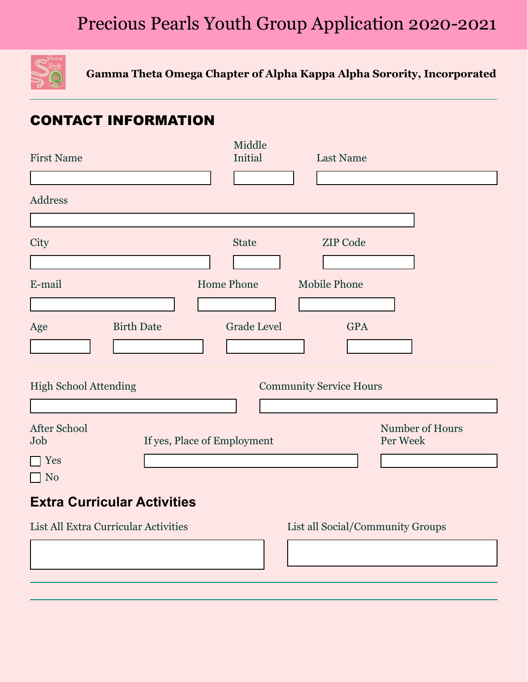# Precious Pearls Youth Group Application 2020-2021



**Gamma Theta Omega Chapter of Alpha Kappa Alpha Sorority, Incorporated**

### CONTACT INFORMATION

| <b>First Name</b>                                   |                             | Middle<br><b>Initial</b>                       | <b>Last Name</b>               |                             |
|-----------------------------------------------------|-----------------------------|------------------------------------------------|--------------------------------|-----------------------------|
| <b>Address</b>                                      |                             |                                                |                                |                             |
| City                                                |                             | <b>State</b><br>$\vert \mathbf{v} \vert$       | <b>ZIP Code</b>                |                             |
| E-mail                                              |                             | <b>Home Phone</b>                              | <b>Mobile Phone</b>            |                             |
| Age                                                 | <b>Birth Date</b>           | <b>Grade Level</b><br>$\vert \mathbf{v} \vert$ | <b>GPA</b>                     |                             |
| <b>High School Attending</b>                        |                             |                                                | <b>Community Service Hours</b> |                             |
| <b>After School</b><br>Job<br>Yes<br>N <sub>o</sub> | If yes, Place of Employment |                                                |                                | Number of Hours<br>Per Week |

### **Extra Curricular Activities**

List All Extra Curricular Activities List all Social/Community Groups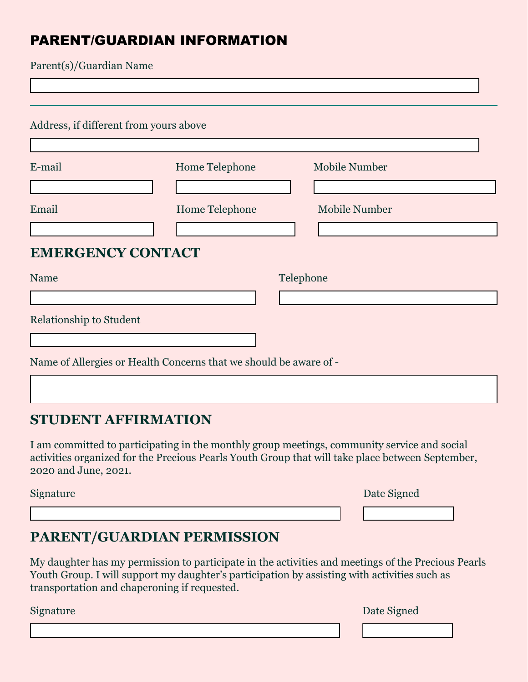### PARENT/GUARDIAN INFORMATION

Parent(s)/Guardian Name

 $\overline{1}$ 

| Address, if different from yours above |                                                                   |                      |  |  |
|----------------------------------------|-------------------------------------------------------------------|----------------------|--|--|
|                                        |                                                                   |                      |  |  |
| E-mail                                 | Home Telephone                                                    | <b>Mobile Number</b> |  |  |
|                                        |                                                                   |                      |  |  |
| Email                                  | Home Telephone                                                    | <b>Mobile Number</b> |  |  |
|                                        |                                                                   |                      |  |  |
| <b>EMERGENCY CONTACT</b>               |                                                                   |                      |  |  |
| <b>Name</b>                            | Telephone                                                         |                      |  |  |
|                                        |                                                                   |                      |  |  |
| <b>Relationship to Student</b>         |                                                                   |                      |  |  |
|                                        |                                                                   |                      |  |  |
|                                        | Name of Allergies or Health Concerns that we should be aware of - |                      |  |  |

### **STUDENT AFFIRMATION**

I am committed to participating in the monthly group meetings, community service and social activities organized for the Precious Pearls Youth Group that will take place between September, 2020 and June, 2021.

Signature

|  | Date Signed |
|--|-------------|
|--|-------------|

### **PARENT/GUARDIAN PERMISSION**

My daughter has my permission to participate in the activities and meetings of the Precious Pearls Youth Group. I will support my daughter's participation by assisting with activities such as transportation and chaperoning if requested.

Signature Date Signed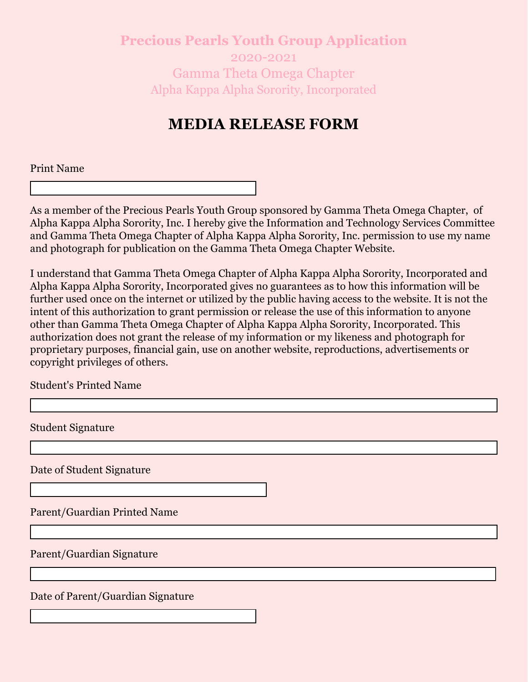**Precious Pearls Youth Group Application** 2020-2021 Gamma Theta Omega Chapter Alpha Kappa Alpha Sorority, Incorporated

### **MEDIA RELEASE FORM**

Print Name

As a member of the Precious Pearls Youth Group sponsored by Gamma Theta Omega Chapter, of Alpha Kappa Alpha Sorority, Inc. I hereby give the Information and Technology Services Committee and Gamma Theta Omega Chapter of Alpha Kappa Alpha Sorority, Inc. permission to use my name and photograph for publication on the Gamma Theta Omega Chapter Website.

I understand that Gamma Theta Omega Chapter of Alpha Kappa Alpha Sorority, Incorporated and Alpha Kappa Alpha Sorority, Incorporated gives no guarantees as to how this information will be further used once on the internet or utilized by the public having access to the website. It is not the intent of this authorization to grant permission or release the use of this information to anyone other than Gamma Theta Omega Chapter of Alpha Kappa Alpha Sorority, Incorporated. This authorization does not grant the release of my information or my likeness and photograph for proprietary purposes, financial gain, use on another website, reproductions, advertisements or copyright privileges of others.

Student's Printed Name

Student Signature

Date of Student Signature

Parent/Guardian Printed Name

Parent/Guardian Signature

Date of Parent/Guardian Signature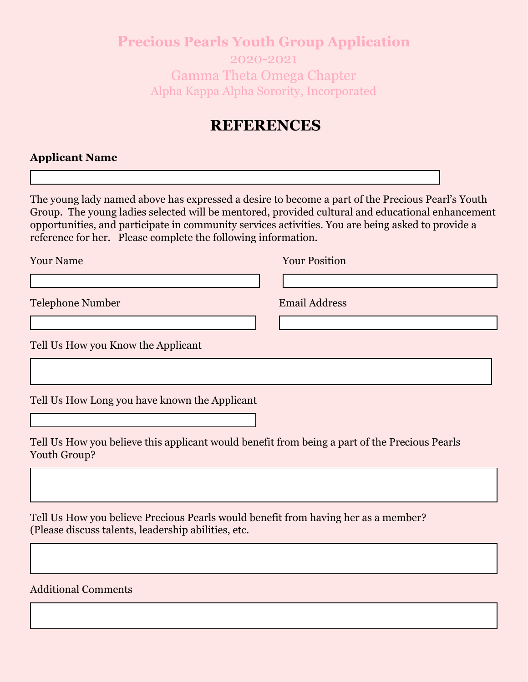### **Precious Pearls Youth Group Application**  2020-2021 Gamma Theta Omega Chapter Alpha Kappa Alpha Sorority, Incorporated

### **REFERENCES**

### **Applicant Name**

The young lady named above has expressed a desire to become a part of the Precious Pearl's Youth Group. The young ladies selected will be mentored, provided cultural and educational enhancement opportunities, and participate in community services activities. You are being asked to provide a reference for her. Please complete the following information.

Your Name Your Position

Telephone Number Email Address

Tell Us How you Know the Applicant

Tell Us How Long you have known the Applicant

Tell Us How you believe this applicant would benefit from being a part of the Precious Pearls Youth Group?

Tell Us How you believe Precious Pearls would benefit from having her as a member? (Please discuss talents, leadership abilities, etc.

### Additional Comments